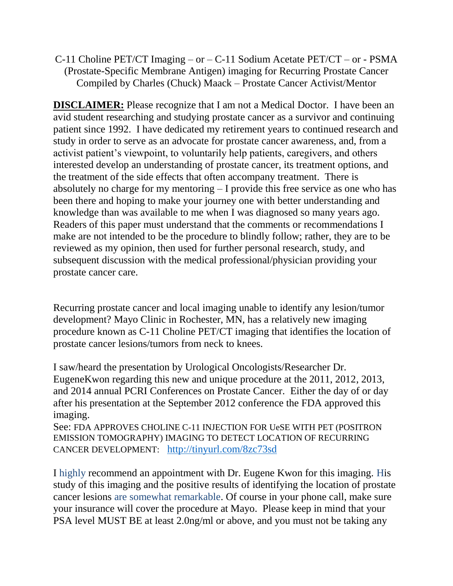C-11 Choline PET/CT Imaging – or – C-11 Sodium Acetate PET/CT – or - PSMA (Prostate-Specific Membrane Antigen) imaging for Recurring Prostate Cancer Compiled by Charles (Chuck) Maack – Prostate Cancer Activist/Mentor

**DISCLAIMER:** Please recognize that I am not a Medical Doctor. I have been an avid student researching and studying prostate cancer as a survivor and continuing patient since 1992. I have dedicated my retirement years to continued research and study in order to serve as an advocate for prostate cancer awareness, and, from a activist patient's viewpoint, to voluntarily help patients, caregivers, and others interested develop an understanding of prostate cancer, its treatment options, and the treatment of the side effects that often accompany treatment. There is absolutely no charge for my mentoring – I provide this free service as one who has been there and hoping to make your journey one with better understanding and knowledge than was available to me when I was diagnosed so many years ago. Readers of this paper must understand that the comments or recommendations I make are not intended to be the procedure to blindly follow; rather, they are to be reviewed as my opinion, then used for further personal research, study, and subsequent discussion with the medical professional/physician providing your prostate cancer care.

Recurring prostate cancer and local imaging unable to identify any lesion/tumor development? Mayo Clinic in Rochester, MN, has a relatively new imaging procedure known as C-11 Choline PET/CT imaging that identifies the location of prostate cancer lesions/tumors from neck to knees.

I saw/heard the presentation by Urological Oncologists/Researcher Dr. EugeneKwon regarding this new and unique procedure at the 2011, 2012, 2013, and 2014 annual PCRI Conferences on Prostate Cancer. Either the day of or day after his presentation at the September 2012 conference the FDA approved this imaging.

See: FDA APPROVES CHOLINE C-11 INJECTION FOR UeSE WITH PET (POSITRON EMISSION TOMOGRAPHY) IMAGING TO DETECT LOCATION OF RECURRING CANCER DEVELOPMENT: <http://tinyurl.com/8zc73sd>

I highly recommend an appointment with Dr. Eugene Kwon for this imaging. His study of this imaging and the positive results of identifying the location of prostate cancer lesions are somewhat remarkable. Of course in your phone call, make sure your insurance will cover the procedure at Mayo. Please keep in mind that your PSA level MUST BE at least 2.0ng/ml or above, and you must not be taking any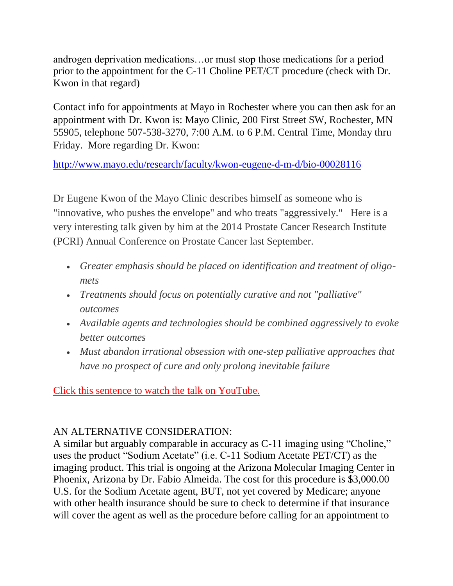androgen deprivation medications…or must stop those medications for a period prior to the appointment for the C-11 Choline PET/CT procedure (check with Dr. Kwon in that regard)

Contact info for appointments at Mayo in Rochester where you can then ask for an appointment with Dr. Kwon is: Mayo Clinic, 200 First Street SW, Rochester, MN 55905, telephone 507-538-3270, 7:00 A.M. to 6 P.M. Central Time, Monday thru Friday. More regarding Dr. Kwon:

<http://www.mayo.edu/research/faculty/kwon-eugene-d-m-d/bio-00028116>

Dr Eugene Kwon of the Mayo Clinic describes himself as someone who is "innovative, who pushes the envelope" and who treats "aggressively." Here is a very interesting talk given by him at the 2014 Prostate Cancer Research Institute (PCRI) Annual Conference on Prostate Cancer last September.

- *Greater emphasis should be placed on identification and treatment of oligomets*
- *Treatments should focus on potentially curative and not "palliative" outcomes*
- *Available agents and technologies should be combined aggressively to evoke better outcomes*
- *Must abandon irrational obsession with one-step palliative approaches that have no prospect of cure and only prolong inevitable failure*

[Click this sentence to watch the talk on YouTube.](http://mandrillapp.com/track/click/15358735/www.youtube.com?p=eyJzIjoiUjF5NzdJZUhVS3BLNGtWNDcwTDItNm9vMzU4IiwidiI6MSwicCI6IntcInVcIjoxNTM1ODczNSxcInZcIjoxLFwidXJsXCI6XCJodHRwczpcXFwvXFxcL3d3dy55b3V0dWJlLmNvbVxcXC93YXRjaD94LXl0LXRzPTE0MjE5MTQ2ODgmeC15dC1jbD04NDUwMzUzNCZ2PU5rcWl6bXZxSlBvI3Q9MTYzM1wiLFwiaWRcIjpcIjJkZTgwNmRiNjJmYTQwYzNhMzA5ZTdhNTYwMjg2ZWU3XCIsXCJ1cmxfaWRzXCI6W1wiNzc0Zjc0MTJkMWEzNjlkMWMwNGFiMGJiOTY0NjE0Y2Q1NWU3ZTI5NFwiXX0ifQ)

## AN ALTERNATIVE CONSIDERATION:

A similar but arguably comparable in accuracy as C-11 imaging using "Choline," uses the product "Sodium Acetate" (i.e. C-11 Sodium Acetate PET/CT) as the imaging product. This trial is ongoing at the Arizona Molecular Imaging Center in Phoenix, Arizona by Dr. Fabio Almeida. The cost for this procedure is \$3,000.00 U.S. for the Sodium Acetate agent, BUT, not yet covered by Medicare; anyone with other health insurance should be sure to check to determine if that insurance will cover the agent as well as the procedure before calling for an appointment to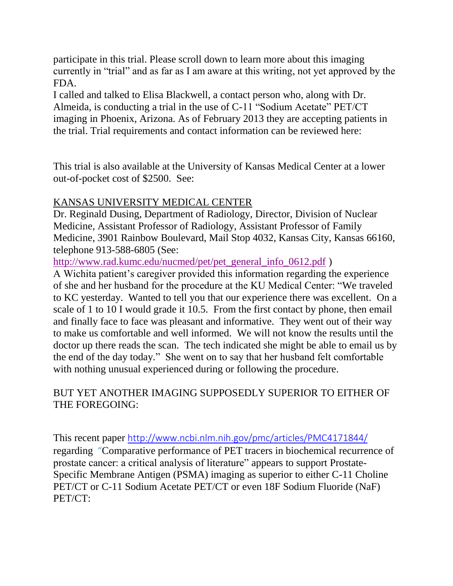participate in this trial. Please scroll down to learn more about this imaging currently in "trial" and as far as I am aware at this writing, not yet approved by the FDA.

I called and talked to Elisa Blackwell, a contact person who, along with Dr. Almeida, is conducting a trial in the use of C-11 "Sodium Acetate" PET/CT imaging in Phoenix, Arizona. As of February 2013 they are accepting patients in the trial. Trial requirements and contact information can be reviewed here:

This trial is also available at the University of Kansas Medical Center at a lower out-of-pocket cost of \$2500. See:

## KANSAS UNIVERSITY MEDICAL CENTER

Dr. Reginald Dusing, Department of Radiology, Director, Division of Nuclear Medicine, Assistant Professor of Radiology, Assistant Professor of Family Medicine, 3901 Rainbow Boulevard, Mail Stop 4032, Kansas City, Kansas 66160, telephone 913-588-6805 (See:

[http://www.rad.kumc.edu/nucmed/pet/pet\\_general\\_info\\_0612.pdf](http://www.rad.kumc.edu/nucmed/pet/pet_general_info_0612.pdf) )

A Wichita patient's caregiver provided this information regarding the experience of she and her husband for the procedure at the KU Medical Center: "We traveled to KC yesterday. Wanted to tell you that our experience there was excellent. On a scale of 1 to 10 I would grade it 10.5. From the first contact by phone, then email and finally face to face was pleasant and informative. They went out of their way to make us comfortable and well informed. We will not know the results until the doctor up there reads the scan. The tech indicated she might be able to email us by the end of the day today." She went on to say that her husband felt comfortable with nothing unusual experienced during or following the procedure.

## BUT YET ANOTHER IMAGING SUPPOSEDLY SUPERIOR TO EITHER OF THE FOREGOING:

This recent paper <http://www.ncbi.nlm.nih.gov/pmc/articles/PMC4171844/> regarding "Comparative performance of PET tracers in biochemical recurrence of prostate cancer: a critical analysis of literature" appears to support Prostate-Specific Membrane Antigen (PSMA) imaging as superior to either C-11 Choline PET/CT or C-11 Sodium Acetate PET/CT or even 18F Sodium Fluoride (NaF) PET/CT: